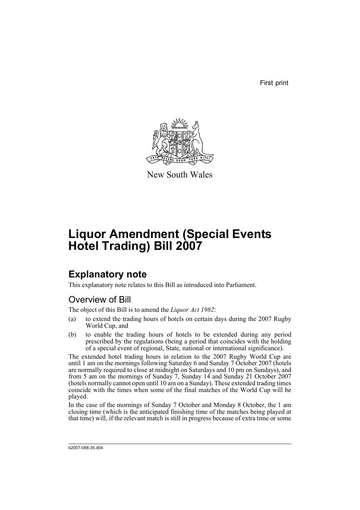First print



New South Wales

# **Liquor Amendment (Special Events Hotel Trading) Bill 2007**

## **Explanatory note**

This explanatory note relates to this Bill as introduced into Parliament.

### Overview of Bill

The object of this Bill is to amend the *Liquor Act 1982*:

- (a) to extend the trading hours of hotels on certain days during the 2007 Rugby World Cup, and
- (b) to enable the trading hours of hotels to be extended during any period prescribed by the regulations (being a period that coincides with the holding of a special event of regional, State, national or international significance).

The extended hotel trading hours in relation to the 2007 Rugby World Cup are until 1 am on the mornings following Saturday 6 and Sunday 7 October 2007 (hotels are normally required to close at midnight on Saturdays and 10 pm on Sundays), and from 5 am on the mornings of Sunday 7, Sunday 14 and Sunday 21 October 2007 (hotels normally cannot open until 10 am on a Sunday). These extended trading times coincide with the times when some of the final matches of the World Cup will be played.

In the case of the mornings of Sunday 7 October and Monday 8 October, the 1 am closing time (which is the anticipated finishing time of the matches being played at that time) will, if the relevant match is still in progress because of extra time or some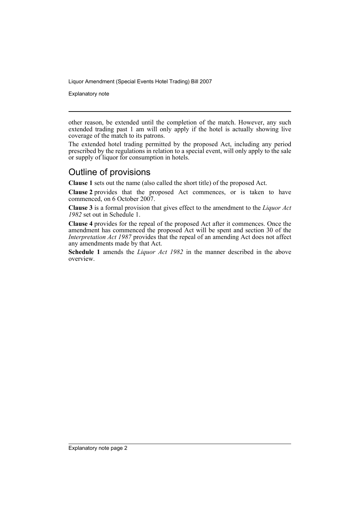Explanatory note

other reason, be extended until the completion of the match. However, any such extended trading past 1 am will only apply if the hotel is actually showing live coverage of the match to its patrons.

The extended hotel trading permitted by the proposed Act, including any period prescribed by the regulations in relation to a special event, will only apply to the sale or supply of liquor for consumption in hotels.

## Outline of provisions

**Clause 1** sets out the name (also called the short title) of the proposed Act.

**Clause 2** provides that the proposed Act commences, or is taken to have commenced, on 6 October 2007.

**Clause 3** is a formal provision that gives effect to the amendment to the *Liquor Act 1982* set out in Schedule 1.

**Clause 4** provides for the repeal of the proposed Act after it commences. Once the amendment has commenced the proposed Act will be spent and section 30 of the *Interpretation Act 1987* provides that the repeal of an amending Act does not affect any amendments made by that Act.

**Schedule 1** amends the *Liquor Act 1982* in the manner described in the above overview.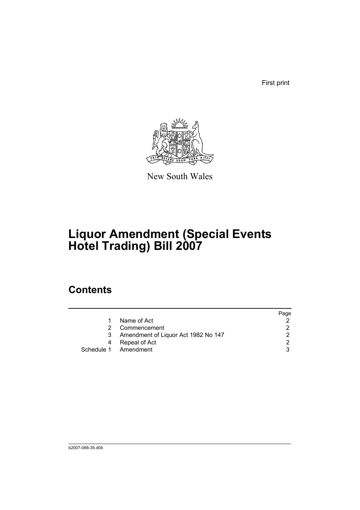First print



New South Wales

# **Liquor Amendment (Special Events Hotel Trading) Bill 2007**

## **Contents**

|                                     | Page |
|-------------------------------------|------|
| Name of Act                         |      |
| Commencement                        |      |
| Amendment of Liquor Act 1982 No 147 | າ    |
| Repeal of Act                       | ◠    |
| Schedule 1 Amendment                |      |
|                                     |      |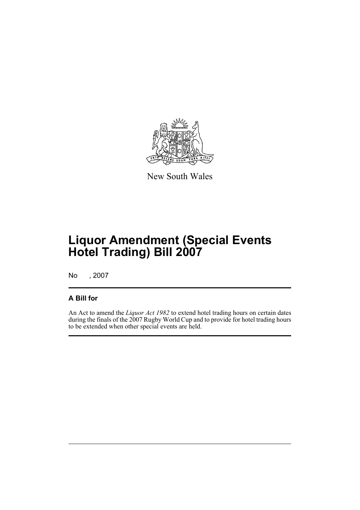

New South Wales

## **Liquor Amendment (Special Events Hotel Trading) Bill 2007**

No , 2007

### **A Bill for**

An Act to amend the *Liquor Act 1982* to extend hotel trading hours on certain dates during the finals of the 2007 Rugby World Cup and to provide for hotel trading hours to be extended when other special events are held.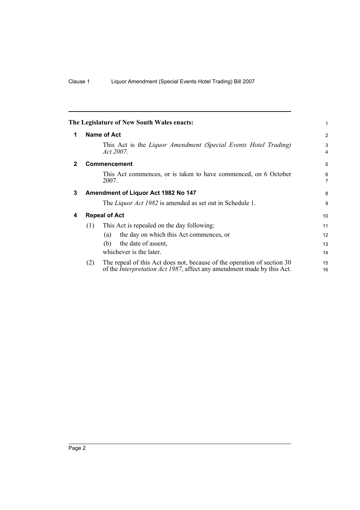<span id="page-5-3"></span><span id="page-5-2"></span><span id="page-5-1"></span><span id="page-5-0"></span>

|              |                      | The Legislature of New South Wales enacts:                                                                                                                | 1                   |
|--------------|----------------------|-----------------------------------------------------------------------------------------------------------------------------------------------------------|---------------------|
| 1            |                      | Name of Act                                                                                                                                               | 2                   |
|              |                      | This Act is the <i>Liquor Amendment (Special Events Hotel Trading)</i><br>Act 2007.                                                                       | 3<br>$\overline{4}$ |
| $\mathbf{2}$ |                      | <b>Commencement</b>                                                                                                                                       | 5                   |
|              |                      | This Act commences, or is taken to have commenced, on 6 October<br>2007.                                                                                  | 6<br>$\overline{7}$ |
| 3            |                      | Amendment of Liquor Act 1982 No 147                                                                                                                       | 8                   |
|              |                      | The <i>Liquor Act 1982</i> is amended as set out in Schedule 1.                                                                                           | 9                   |
| 4            | <b>Repeal of Act</b> |                                                                                                                                                           |                     |
|              | (1)                  | This Act is repealed on the day following:                                                                                                                | 11                  |
|              |                      | the day on which this Act commences, or<br>(a)                                                                                                            | 12                  |
|              |                      | the date of assent,<br>(b)                                                                                                                                | 13                  |
|              |                      | whichever is the later.                                                                                                                                   | 14                  |
|              | (2)                  | The repeal of this Act does not, because of the operation of section 30<br>of the <i>Interpretation Act 1987</i> , affect any amendment made by this Act. | 15<br>16            |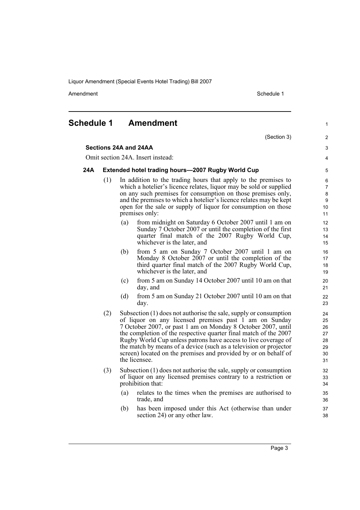Amendment **Amendment** Schedule 1

(Section 3)

1

 $\overline{2}$ 3 4

#### <span id="page-6-0"></span>**Schedule 1 Amendment**

#### **Sections 24A and 24AA**

Omit section 24A. Insert instead:

#### **24A Extended hotel trading hours—2007 Rugby World Cup**

- (1) In addition to the trading hours that apply to the premises to which a hotelier's licence relates, liquor may be sold or supplied on any such premises for consumption on those premises only, and the premises to which a hotelier's licence relates may be kept open for the sale or supply of liquor for consumption on those premises only:
	- (a) from midnight on Saturday 6 October 2007 until 1 am on Sunday 7 October 2007 or until the completion of the first quarter final match of the 2007 Rugby World Cup, whichever is the later, and
	- (b) from 5 am on Sunday 7 October 2007 until 1 am on Monday 8 October 2007 or until the completion of the third quarter final match of the 2007 Rugby World Cup, whichever is the later, and
	- (c) from 5 am on Sunday 14 October 2007 until 10 am on that day, and
	- (d) from 5 am on Sunday 21 October 2007 until 10 am on that day.
- (2) Subsection (1) does not authorise the sale, supply or consumption of liquor on any licensed premises past 1 am on Sunday 7 October 2007, or past 1 am on Monday 8 October 2007, until the completion of the respective quarter final match of the 2007 Rugby World Cup unless patrons have access to live coverage of the match by means of a device (such as a television or projector screen) located on the premises and provided by or on behalf of the licensee.
- (3) Subsection (1) does not authorise the sale, supply or consumption of liquor on any licensed premises contrary to a restriction or prohibition that:
	- (a) relates to the times when the premises are authorised to trade, and
	- (b) has been imposed under this Act (otherwise than under section 24) or any other law.

Page 3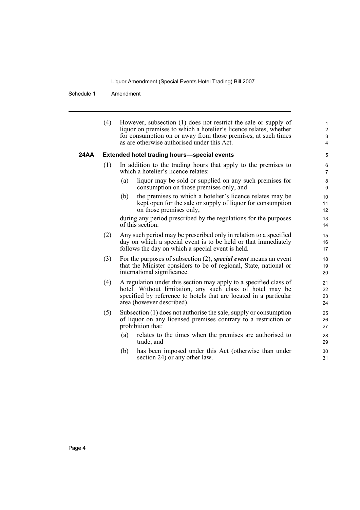Schedule 1 Amendment

|      | (4) | However, subsection (1) does not restrict the sale or supply of<br>liquor on premises to which a hotelier's licence relates, whether<br>for consumption on or away from those premises, at such times<br>as are otherwise authorised under this Act. | 1<br>$\overline{\mathbf{c}}$<br>3<br>4 |
|------|-----|------------------------------------------------------------------------------------------------------------------------------------------------------------------------------------------------------------------------------------------------------|----------------------------------------|
| 24AA |     | <b>Extended hotel trading hours-special events</b>                                                                                                                                                                                                   | 5                                      |
|      | (1) | In addition to the trading hours that apply to the premises to<br>which a hotelier's licence relates:                                                                                                                                                | 6<br>7                                 |
|      |     | liquor may be sold or supplied on any such premises for<br>(a)<br>consumption on those premises only, and                                                                                                                                            | 8<br>9                                 |
|      |     | (b)<br>the premises to which a hotelier's licence relates may be<br>kept open for the sale or supply of liquor for consumption<br>on those premises only,                                                                                            | 10<br>11<br>12                         |
|      |     | during any period prescribed by the regulations for the purposes<br>of this section.                                                                                                                                                                 | 13<br>14                               |
|      | (2) | Any such period may be prescribed only in relation to a specified<br>day on which a special event is to be held or that immediately<br>follows the day on which a special event is held.                                                             | 15<br>16<br>17                         |
|      | (3) | For the purposes of subsection $(2)$ , special event means an event<br>that the Minister considers to be of regional, State, national or<br>international significance.                                                                              | 18<br>19<br>20                         |
|      | (4) | A regulation under this section may apply to a specified class of<br>hotel. Without limitation, any such class of hotel may be<br>specified by reference to hotels that are located in a particular<br>area (however described).                     | 21<br>22<br>23<br>24                   |
|      | (5) | Subsection (1) does not authorise the sale, supply or consumption<br>of liquor on any licensed premises contrary to a restriction or<br>prohibition that:                                                                                            | 25<br>26<br>27                         |
|      |     | relates to the times when the premises are authorised to<br>(a)<br>trade, and                                                                                                                                                                        | 28<br>29                               |
|      |     | has been imposed under this Act (otherwise than under<br>(b)<br>section 24) or any other law.                                                                                                                                                        | 30<br>31                               |
|      |     |                                                                                                                                                                                                                                                      |                                        |